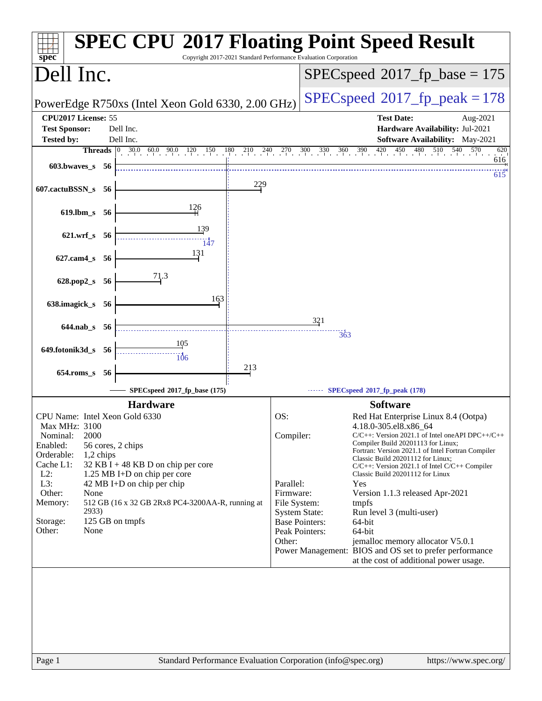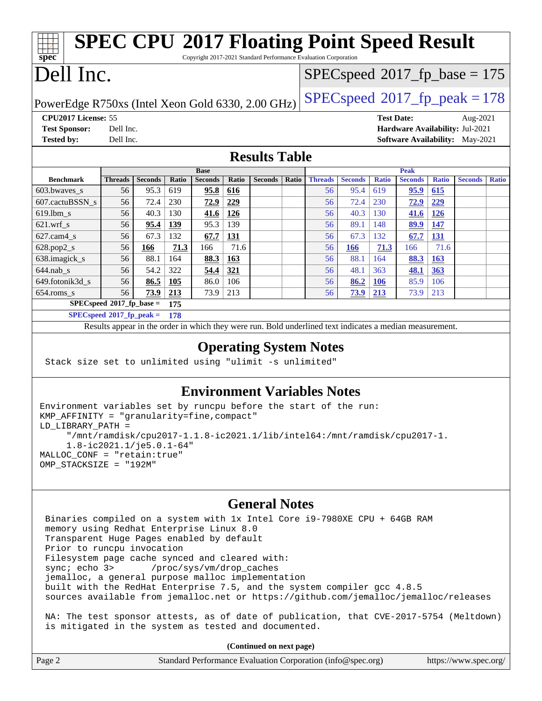#### **[spec](http://www.spec.org/) [SPEC CPU](http://www.spec.org/auto/cpu2017/Docs/result-fields.html#SPECCPU2017FloatingPointSpeedResult)[2017 Floating Point Speed Result](http://www.spec.org/auto/cpu2017/Docs/result-fields.html#SPECCPU2017FloatingPointSpeedResult)** Copyright 2017-2021 Standard Performance Evaluation Corporation Dell Inc. PowerEdge R750xs (Intel Xeon Gold 6330, 2.00 GHz)  $\left|$  [SPECspeed](http://www.spec.org/auto/cpu2017/Docs/result-fields.html#SPECspeed2017fppeak)<sup>®</sup>[2017\\_fp\\_peak = 1](http://www.spec.org/auto/cpu2017/Docs/result-fields.html#SPECspeed2017fppeak)78  $SPECspeed^{\circledcirc}2017_fp\_base = 175$  $SPECspeed^{\circledcirc}2017_fp\_base = 175$ **[CPU2017 License:](http://www.spec.org/auto/cpu2017/Docs/result-fields.html#CPU2017License)** 55 **[Test Date:](http://www.spec.org/auto/cpu2017/Docs/result-fields.html#TestDate)** Aug-2021 **[Test Sponsor:](http://www.spec.org/auto/cpu2017/Docs/result-fields.html#TestSponsor)** Dell Inc. **[Hardware Availability:](http://www.spec.org/auto/cpu2017/Docs/result-fields.html#HardwareAvailability)** Jul-2021 **[Tested by:](http://www.spec.org/auto/cpu2017/Docs/result-fields.html#Testedby)** Dell Inc. **[Software Availability:](http://www.spec.org/auto/cpu2017/Docs/result-fields.html#SoftwareAvailability)** May-2021 **[Results Table](http://www.spec.org/auto/cpu2017/Docs/result-fields.html#ResultsTable) [Benchmark](http://www.spec.org/auto/cpu2017/Docs/result-fields.html#Benchmark) [Threads](http://www.spec.org/auto/cpu2017/Docs/result-fields.html#Threads) [Seconds](http://www.spec.org/auto/cpu2017/Docs/result-fields.html#Seconds) [Ratio](http://www.spec.org/auto/cpu2017/Docs/result-fields.html#Ratio) [Seconds](http://www.spec.org/auto/cpu2017/Docs/result-fields.html#Seconds) [Ratio](http://www.spec.org/auto/cpu2017/Docs/result-fields.html#Ratio) [Seconds](http://www.spec.org/auto/cpu2017/Docs/result-fields.html#Seconds) [Ratio](http://www.spec.org/auto/cpu2017/Docs/result-fields.html#Ratio) Base [Threads](http://www.spec.org/auto/cpu2017/Docs/result-fields.html#Threads) [Seconds](http://www.spec.org/auto/cpu2017/Docs/result-fields.html#Seconds) [Ratio](http://www.spec.org/auto/cpu2017/Docs/result-fields.html#Ratio) [Seconds](http://www.spec.org/auto/cpu2017/Docs/result-fields.html#Seconds) [Ratio](http://www.spec.org/auto/cpu2017/Docs/result-fields.html#Ratio) [Seconds](http://www.spec.org/auto/cpu2017/Docs/result-fields.html#Seconds) [Ratio](http://www.spec.org/auto/cpu2017/Docs/result-fields.html#Ratio) Peak** [603.bwaves\\_s](http://www.spec.org/auto/cpu2017/Docs/benchmarks/603.bwaves_s.html) 56 95.3 619 **[95.8](http://www.spec.org/auto/cpu2017/Docs/result-fields.html#Median) [616](http://www.spec.org/auto/cpu2017/Docs/result-fields.html#Median)** 56 95.4 619 **[95.9](http://www.spec.org/auto/cpu2017/Docs/result-fields.html#Median) [615](http://www.spec.org/auto/cpu2017/Docs/result-fields.html#Median)** [607.cactuBSSN\\_s](http://www.spec.org/auto/cpu2017/Docs/benchmarks/607.cactuBSSN_s.html) 56 72.4 230 **[72.9](http://www.spec.org/auto/cpu2017/Docs/result-fields.html#Median) [229](http://www.spec.org/auto/cpu2017/Docs/result-fields.html#Median)** 56 72.4 230 **[72.9](http://www.spec.org/auto/cpu2017/Docs/result-fields.html#Median) [229](http://www.spec.org/auto/cpu2017/Docs/result-fields.html#Median)** [619.lbm\\_s](http://www.spec.org/auto/cpu2017/Docs/benchmarks/619.lbm_s.html) 56 40.3 130 **[41.6](http://www.spec.org/auto/cpu2017/Docs/result-fields.html#Median) [126](http://www.spec.org/auto/cpu2017/Docs/result-fields.html#Median)** 56 40.3 130 **[41.6](http://www.spec.org/auto/cpu2017/Docs/result-fields.html#Median) [126](http://www.spec.org/auto/cpu2017/Docs/result-fields.html#Median)** [621.wrf\\_s](http://www.spec.org/auto/cpu2017/Docs/benchmarks/621.wrf_s.html) 56 **[95.4](http://www.spec.org/auto/cpu2017/Docs/result-fields.html#Median) [139](http://www.spec.org/auto/cpu2017/Docs/result-fields.html#Median)** 95.3 139 56 89.1 148 **[89.9](http://www.spec.org/auto/cpu2017/Docs/result-fields.html#Median) [147](http://www.spec.org/auto/cpu2017/Docs/result-fields.html#Median)** [627.cam4\\_s](http://www.spec.org/auto/cpu2017/Docs/benchmarks/627.cam4_s.html) 56 67.3 132 **[67.7](http://www.spec.org/auto/cpu2017/Docs/result-fields.html#Median) [131](http://www.spec.org/auto/cpu2017/Docs/result-fields.html#Median)** 56 67.3 132 **[67.7](http://www.spec.org/auto/cpu2017/Docs/result-fields.html#Median) [131](http://www.spec.org/auto/cpu2017/Docs/result-fields.html#Median)** [628.pop2\\_s](http://www.spec.org/auto/cpu2017/Docs/benchmarks/628.pop2_s.html) 56 **[166](http://www.spec.org/auto/cpu2017/Docs/result-fields.html#Median) [71.3](http://www.spec.org/auto/cpu2017/Docs/result-fields.html#Median)** 166 71.6 56 **[166](http://www.spec.org/auto/cpu2017/Docs/result-fields.html#Median) [71.3](http://www.spec.org/auto/cpu2017/Docs/result-fields.html#Median)** 166 71.6 [638.imagick\\_s](http://www.spec.org/auto/cpu2017/Docs/benchmarks/638.imagick_s.html) 56 88.1 164 **[88.3](http://www.spec.org/auto/cpu2017/Docs/result-fields.html#Median) [163](http://www.spec.org/auto/cpu2017/Docs/result-fields.html#Median)** 56 88.1 164 **[88.3](http://www.spec.org/auto/cpu2017/Docs/result-fields.html#Median) [163](http://www.spec.org/auto/cpu2017/Docs/result-fields.html#Median)** [644.nab\\_s](http://www.spec.org/auto/cpu2017/Docs/benchmarks/644.nab_s.html) 56 54.2 322 **[54.4](http://www.spec.org/auto/cpu2017/Docs/result-fields.html#Median) [321](http://www.spec.org/auto/cpu2017/Docs/result-fields.html#Median)** 56 48.1 363 **[48.1](http://www.spec.org/auto/cpu2017/Docs/result-fields.html#Median) [363](http://www.spec.org/auto/cpu2017/Docs/result-fields.html#Median)**

**[SPECspeed](http://www.spec.org/auto/cpu2017/Docs/result-fields.html#SPECspeed2017fpbase)[2017\\_fp\\_base =](http://www.spec.org/auto/cpu2017/Docs/result-fields.html#SPECspeed2017fpbase) 175 [SPECspeed](http://www.spec.org/auto/cpu2017/Docs/result-fields.html#SPECspeed2017fppeak)[2017\\_fp\\_peak =](http://www.spec.org/auto/cpu2017/Docs/result-fields.html#SPECspeed2017fppeak) 178**

Results appear in the [order in which they were run.](http://www.spec.org/auto/cpu2017/Docs/result-fields.html#RunOrder) Bold underlined text [indicates a median measurement.](http://www.spec.org/auto/cpu2017/Docs/result-fields.html#Median)

## **[Operating System Notes](http://www.spec.org/auto/cpu2017/Docs/result-fields.html#OperatingSystemNotes)**

Stack size set to unlimited using "ulimit -s unlimited"

## **[Environment Variables Notes](http://www.spec.org/auto/cpu2017/Docs/result-fields.html#EnvironmentVariablesNotes)**

```
Environment variables set by runcpu before the start of the run:
KMP AFFINITY = "granularity=fine, compact"
LD_LIBRARY_PATH =
      "/mnt/ramdisk/cpu2017-1.1.8-ic2021.1/lib/intel64:/mnt/ramdisk/cpu2017-1.
      1.8-ic2021.1/je5.0.1-64"
MALLOC_CONF = "retain:true"
OMP_STACKSIZE = "192M"
```
[649.fotonik3d\\_s](http://www.spec.org/auto/cpu2017/Docs/benchmarks/649.fotonik3d_s.html) 56 **[86.5](http://www.spec.org/auto/cpu2017/Docs/result-fields.html#Median) [105](http://www.spec.org/auto/cpu2017/Docs/result-fields.html#Median)** 86.0 106 56 **[86.2](http://www.spec.org/auto/cpu2017/Docs/result-fields.html#Median) [106](http://www.spec.org/auto/cpu2017/Docs/result-fields.html#Median)** 85.9 106 [654.roms\\_s](http://www.spec.org/auto/cpu2017/Docs/benchmarks/654.roms_s.html) 56 **[73.9](http://www.spec.org/auto/cpu2017/Docs/result-fields.html#Median) [213](http://www.spec.org/auto/cpu2017/Docs/result-fields.html#Median)** 73.9 213 56 **[73.9](http://www.spec.org/auto/cpu2017/Docs/result-fields.html#Median) [213](http://www.spec.org/auto/cpu2017/Docs/result-fields.html#Median)** 73.9 213

### **[General Notes](http://www.spec.org/auto/cpu2017/Docs/result-fields.html#GeneralNotes)**

 Binaries compiled on a system with 1x Intel Core i9-7980XE CPU + 64GB RAM memory using Redhat Enterprise Linux 8.0 Transparent Huge Pages enabled by default Prior to runcpu invocation Filesystem page cache synced and cleared with: sync; echo 3> /proc/sys/vm/drop\_caches jemalloc, a general purpose malloc implementation built with the RedHat Enterprise 7.5, and the system compiler gcc 4.8.5 sources available from jemalloc.net or <https://github.com/jemalloc/jemalloc/releases> NA: The test sponsor attests, as of date of publication, that CVE-2017-5754 (Meltdown) is mitigated in the system as tested and documented.

**(Continued on next page)**

| Page 2 | Standard Performance Evaluation Corporation (info@spec.org) | https://www.spec.org/ |
|--------|-------------------------------------------------------------|-----------------------|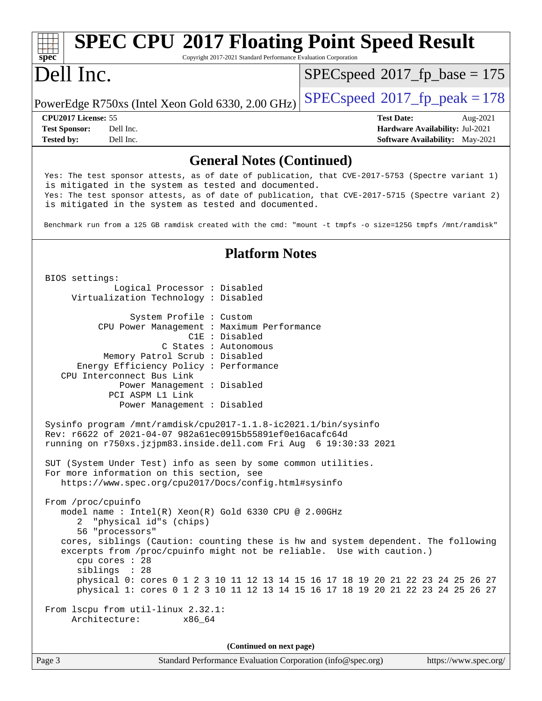#### **[spec](http://www.spec.org/) [SPEC CPU](http://www.spec.org/auto/cpu2017/Docs/result-fields.html#SPECCPU2017FloatingPointSpeedResult)[2017 Floating Point Speed Result](http://www.spec.org/auto/cpu2017/Docs/result-fields.html#SPECCPU2017FloatingPointSpeedResult)** Copyright 2017-2021 Standard Performance Evaluation Corporation Dell Inc. PowerEdge R750xs (Intel Xeon Gold 6330, 2.00 GHz)  $\left|$  [SPECspeed](http://www.spec.org/auto/cpu2017/Docs/result-fields.html#SPECspeed2017fppeak)<sup>®</sup>[2017\\_fp\\_peak = 1](http://www.spec.org/auto/cpu2017/Docs/result-fields.html#SPECspeed2017fppeak)78 [SPECspeed](http://www.spec.org/auto/cpu2017/Docs/result-fields.html#SPECspeed2017fpbase)<sup>®</sup>2017 fp base = 175 **[CPU2017 License:](http://www.spec.org/auto/cpu2017/Docs/result-fields.html#CPU2017License)** 55 **[Test Date:](http://www.spec.org/auto/cpu2017/Docs/result-fields.html#TestDate)** Aug-2021 **[Test Sponsor:](http://www.spec.org/auto/cpu2017/Docs/result-fields.html#TestSponsor)** Dell Inc. **[Hardware Availability:](http://www.spec.org/auto/cpu2017/Docs/result-fields.html#HardwareAvailability)** Jul-2021 **[Tested by:](http://www.spec.org/auto/cpu2017/Docs/result-fields.html#Testedby)** Dell Inc. Dell Inc. **[Software Availability:](http://www.spec.org/auto/cpu2017/Docs/result-fields.html#SoftwareAvailability)** May-2021 **[General Notes \(Continued\)](http://www.spec.org/auto/cpu2017/Docs/result-fields.html#GeneralNotes)** Yes: The test sponsor attests, as of date of publication, that CVE-2017-5753 (Spectre variant 1) is mitigated in the system as tested and documented. Yes: The test sponsor attests, as of date of publication, that CVE-2017-5715 (Spectre variant 2) is mitigated in the system as tested and documented. Benchmark run from a 125 GB ramdisk created with the cmd: "mount -t tmpfs -o size=125G tmpfs /mnt/ramdisk" **[Platform Notes](http://www.spec.org/auto/cpu2017/Docs/result-fields.html#PlatformNotes)** BIOS settings: Logical Processor : Disabled Virtualization Technology : Disabled System Profile : Custom CPU Power Management : Maximum Performance C1E : Disabled C States : Autonomous Memory Patrol Scrub : Disabled Energy Efficiency Policy : Performance CPU Interconnect Bus Link Power Management : Disabled PCI ASPM L1 Link Power Management : Disabled Sysinfo program /mnt/ramdisk/cpu2017-1.1.8-ic2021.1/bin/sysinfo Rev: r6622 of 2021-04-07 982a61ec0915b55891ef0e16acafc64d running on r750xs.jzjpm83.inside.dell.com Fri Aug 6 19:30:33 2021 SUT (System Under Test) info as seen by some common utilities. For more information on this section, see <https://www.spec.org/cpu2017/Docs/config.html#sysinfo> From /proc/cpuinfo model name : Intel(R) Xeon(R) Gold 6330 CPU @ 2.00GHz 2 "physical id"s (chips) 56 "processors" cores, siblings (Caution: counting these is hw and system dependent. The following excerpts from /proc/cpuinfo might not be reliable. Use with caution.) cpu cores : 28 siblings : 28 physical 0: cores 0 1 2 3 10 11 12 13 14 15 16 17 18 19 20 21 22 23 24 25 26 27 physical 1: cores 0 1 2 3 10 11 12 13 14 15 16 17 18 19 20 21 22 23 24 25 26 27 From lscpu from util-linux 2.32.1: Architecture: x86\_64 **(Continued on next page)**

Page 3 Standard Performance Evaluation Corporation [\(info@spec.org\)](mailto:info@spec.org) <https://www.spec.org/>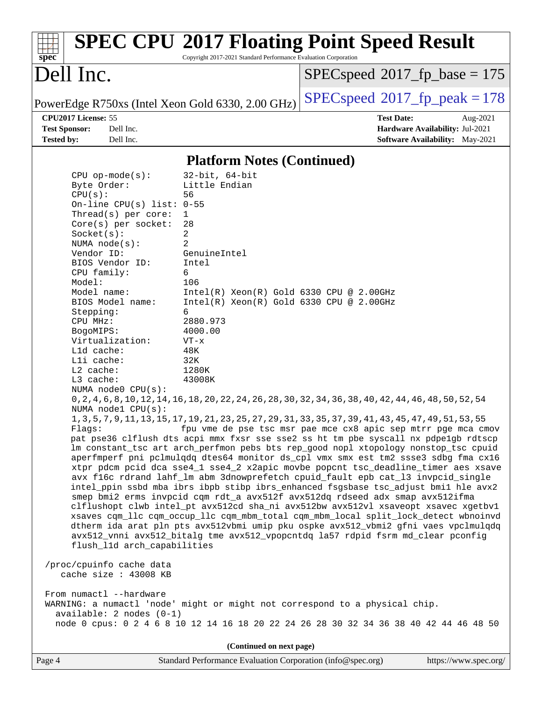| spec                                                                                          |                                                                                                                                                                                                                                                                                                                                                                                                                                                                                     | Copyright 2017-2021 Standard Performance Evaluation Corporation                                                                                                                                                                                                                      | <b>SPEC CPU®2017 Floating Point Speed Result</b>                                                                                                                                                                                                                                                                                                                                                                                                                                                                                                                                                                                                                                                                                                                                                                                                                                                                                                                                                                                                                                                                                                                                                                                                                                                                                                                                                                                          |                                 |
|-----------------------------------------------------------------------------------------------|-------------------------------------------------------------------------------------------------------------------------------------------------------------------------------------------------------------------------------------------------------------------------------------------------------------------------------------------------------------------------------------------------------------------------------------------------------------------------------------|--------------------------------------------------------------------------------------------------------------------------------------------------------------------------------------------------------------------------------------------------------------------------------------|-------------------------------------------------------------------------------------------------------------------------------------------------------------------------------------------------------------------------------------------------------------------------------------------------------------------------------------------------------------------------------------------------------------------------------------------------------------------------------------------------------------------------------------------------------------------------------------------------------------------------------------------------------------------------------------------------------------------------------------------------------------------------------------------------------------------------------------------------------------------------------------------------------------------------------------------------------------------------------------------------------------------------------------------------------------------------------------------------------------------------------------------------------------------------------------------------------------------------------------------------------------------------------------------------------------------------------------------------------------------------------------------------------------------------------------------|---------------------------------|
| Dell Inc.                                                                                     |                                                                                                                                                                                                                                                                                                                                                                                                                                                                                     |                                                                                                                                                                                                                                                                                      | $SPEC speed^{\circ}2017\_fp\_base = 175$                                                                                                                                                                                                                                                                                                                                                                                                                                                                                                                                                                                                                                                                                                                                                                                                                                                                                                                                                                                                                                                                                                                                                                                                                                                                                                                                                                                                  |                                 |
|                                                                                               |                                                                                                                                                                                                                                                                                                                                                                                                                                                                                     | PowerEdge R750xs (Intel Xeon Gold 6330, 2.00 GHz)                                                                                                                                                                                                                                    | $SPEC speed^{\circ}2017$ fp peak = 178                                                                                                                                                                                                                                                                                                                                                                                                                                                                                                                                                                                                                                                                                                                                                                                                                                                                                                                                                                                                                                                                                                                                                                                                                                                                                                                                                                                                    |                                 |
| CPU2017 License: 55                                                                           |                                                                                                                                                                                                                                                                                                                                                                                                                                                                                     |                                                                                                                                                                                                                                                                                      | <b>Test Date:</b>                                                                                                                                                                                                                                                                                                                                                                                                                                                                                                                                                                                                                                                                                                                                                                                                                                                                                                                                                                                                                                                                                                                                                                                                                                                                                                                                                                                                                         | Aug-2021                        |
| <b>Test Sponsor:</b>                                                                          | Dell Inc.                                                                                                                                                                                                                                                                                                                                                                                                                                                                           |                                                                                                                                                                                                                                                                                      |                                                                                                                                                                                                                                                                                                                                                                                                                                                                                                                                                                                                                                                                                                                                                                                                                                                                                                                                                                                                                                                                                                                                                                                                                                                                                                                                                                                                                                           | Hardware Availability: Jul-2021 |
| <b>Tested by:</b>                                                                             | Dell Inc.                                                                                                                                                                                                                                                                                                                                                                                                                                                                           |                                                                                                                                                                                                                                                                                      |                                                                                                                                                                                                                                                                                                                                                                                                                                                                                                                                                                                                                                                                                                                                                                                                                                                                                                                                                                                                                                                                                                                                                                                                                                                                                                                                                                                                                                           | Software Availability: May-2021 |
|                                                                                               |                                                                                                                                                                                                                                                                                                                                                                                                                                                                                     | <b>Platform Notes (Continued)</b>                                                                                                                                                                                                                                                    |                                                                                                                                                                                                                                                                                                                                                                                                                                                                                                                                                                                                                                                                                                                                                                                                                                                                                                                                                                                                                                                                                                                                                                                                                                                                                                                                                                                                                                           |                                 |
| CPU(s):<br>Model:<br>Stepping:<br>CPU MHz:<br>BogoMIPS:<br>$L2$ cache:<br>L3 cache:<br>Flags: | $CPU$ op-mode( $s$ ):<br>Byte Order:<br>On-line CPU(s) list: $0-55$<br>Thread(s) per core:<br>Core(s) per socket:<br>Socket(s):<br>NUMA $node(s)$ :<br>Vendor ID:<br>BIOS Vendor ID:<br>CPU family:<br>Model name:<br>BIOS Model name:<br>Virtualization:<br>L1d cache:<br>Lli cache:<br>NUMA $node0$ $CPU(s)$ :<br>NUMA nodel CPU(s):<br>flush_l1d arch_capabilities<br>/proc/cpuinfo cache data<br>cache size : 43008 KB<br>From numactl --hardware<br>$available: 2 nodes (0-1)$ | $32$ -bit, $64$ -bit<br>Little Endian<br>56<br>$\mathbf 1$<br>28<br>2<br>2<br>GenuineIntel<br>Intel<br>6<br>106<br>$Intel(R) Xeon(R) Gold 6330 CPU @ 2.00GHz$<br>$Intel(R) Xeon(R) Gold 6330 CPU @ 2.00GHz$<br>6<br>2880.973<br>4000.00<br>$VT - x$<br>48K<br>32K<br>1280K<br>43008K | 0, 2, 4, 6, 8, 10, 12, 14, 16, 18, 20, 22, 24, 26, 28, 30, 32, 34, 36, 38, 40, 42, 44, 46, 48, 50, 52, 54<br>1, 3, 5, 7, 9, 11, 13, 15, 17, 19, 21, 23, 25, 27, 29, 31, 33, 35, 37, 39, 41, 43, 45, 47, 49, 51, 53, 55<br>fpu vme de pse tsc msr pae mce cx8 apic sep mtrr pge mca cmov<br>pat pse36 clflush dts acpi mmx fxsr sse sse2 ss ht tm pbe syscall nx pdpelgb rdtscp<br>lm constant_tsc art arch_perfmon pebs bts rep_good nopl xtopology nonstop_tsc cpuid<br>aperfmperf pni pclmulgdg dtes64 monitor ds_cpl vmx smx est tm2 ssse3 sdbg fma cx16<br>xtpr pdcm pcid dca sse4_1 sse4_2 x2apic movbe popcnt tsc_deadline_timer aes xsave<br>avx f16c rdrand lahf_lm abm 3dnowprefetch cpuid_fault epb cat_13 invpcid_single<br>intel_ppin ssbd mba ibrs ibpb stibp ibrs_enhanced fsgsbase tsc_adjust bmil hle avx2<br>smep bmi2 erms invpcid cqm rdt_a avx512f avx512dq rdseed adx smap avx512ifma<br>clflushopt clwb intel_pt avx512cd sha_ni avx512bw avx512vl xsaveopt xsavec xgetbvl<br>xsaves cqm_llc cqm_occup_llc cqm_mbm_total cqm_mbm_local split_lock_detect wbnoinvd<br>dtherm ida arat pln pts avx512vbmi umip pku ospke avx512_vbmi2 gfni vaes vpclmulqdq<br>avx512_vnni avx512_bitalg tme avx512_vpopcntdq la57 rdpid fsrm md_clear pconfig<br>WARNING: a numactl 'node' might or might not correspond to a physical chip.<br>node 0 cpus: 0 2 4 6 8 10 12 14 16 18 20 22 24 26 28 30 32 34 36 38 40 42 44 46 48 50 |                                 |
|                                                                                               |                                                                                                                                                                                                                                                                                                                                                                                                                                                                                     |                                                                                                                                                                                                                                                                                      |                                                                                                                                                                                                                                                                                                                                                                                                                                                                                                                                                                                                                                                                                                                                                                                                                                                                                                                                                                                                                                                                                                                                                                                                                                                                                                                                                                                                                                           |                                 |
|                                                                                               |                                                                                                                                                                                                                                                                                                                                                                                                                                                                                     | (Continued on next page)                                                                                                                                                                                                                                                             |                                                                                                                                                                                                                                                                                                                                                                                                                                                                                                                                                                                                                                                                                                                                                                                                                                                                                                                                                                                                                                                                                                                                                                                                                                                                                                                                                                                                                                           |                                 |
| Page 4                                                                                        |                                                                                                                                                                                                                                                                                                                                                                                                                                                                                     | Standard Performance Evaluation Corporation (info@spec.org)                                                                                                                                                                                                                          |                                                                                                                                                                                                                                                                                                                                                                                                                                                                                                                                                                                                                                                                                                                                                                                                                                                                                                                                                                                                                                                                                                                                                                                                                                                                                                                                                                                                                                           | https://www.spec.org/           |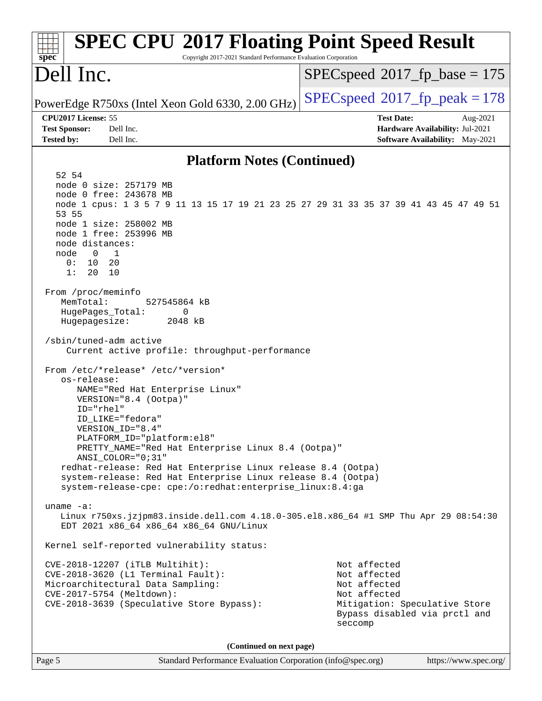| <b>SPEC CPU®2017 Floating Point Speed Result</b><br>spec <sup>®</sup><br>Copyright 2017-2021 Standard Performance Evaluation Corporation                                                                                                                                                                                                                                                                                                                                                                                                                                                                                                                                                                                                                                                                                                                                                                                                                                                                                                                                                                                                                                                                                                                                                                                                                                       |                                                                                                                                           |
|--------------------------------------------------------------------------------------------------------------------------------------------------------------------------------------------------------------------------------------------------------------------------------------------------------------------------------------------------------------------------------------------------------------------------------------------------------------------------------------------------------------------------------------------------------------------------------------------------------------------------------------------------------------------------------------------------------------------------------------------------------------------------------------------------------------------------------------------------------------------------------------------------------------------------------------------------------------------------------------------------------------------------------------------------------------------------------------------------------------------------------------------------------------------------------------------------------------------------------------------------------------------------------------------------------------------------------------------------------------------------------|-------------------------------------------------------------------------------------------------------------------------------------------|
| Dell Inc.                                                                                                                                                                                                                                                                                                                                                                                                                                                                                                                                                                                                                                                                                                                                                                                                                                                                                                                                                                                                                                                                                                                                                                                                                                                                                                                                                                      | $SPEC speed^{\circ}2017\_fp\_base = 175$                                                                                                  |
| PowerEdge R750xs (Intel Xeon Gold 6330, 2.00 GHz)                                                                                                                                                                                                                                                                                                                                                                                                                                                                                                                                                                                                                                                                                                                                                                                                                                                                                                                                                                                                                                                                                                                                                                                                                                                                                                                              | $SPEC speed^{\circ}2017$ fp peak = 178                                                                                                    |
| CPU2017 License: 55<br><b>Test Sponsor:</b><br>Dell Inc.<br><b>Tested by:</b><br>Dell Inc.                                                                                                                                                                                                                                                                                                                                                                                                                                                                                                                                                                                                                                                                                                                                                                                                                                                                                                                                                                                                                                                                                                                                                                                                                                                                                     | <b>Test Date:</b><br>Aug-2021<br>Hardware Availability: Jul-2021<br>Software Availability: May-2021                                       |
| <b>Platform Notes (Continued)</b>                                                                                                                                                                                                                                                                                                                                                                                                                                                                                                                                                                                                                                                                                                                                                                                                                                                                                                                                                                                                                                                                                                                                                                                                                                                                                                                                              |                                                                                                                                           |
| 52 54<br>node 0 size: 257179 MB<br>node 0 free: 243678 MB<br>node 1 cpus: 1 3 5 7 9 11 13 15 17 19 21 23 25 27 29 31 33 35 37 39 41 43 45 47 49 51<br>53 55<br>node 1 size: 258002 MB<br>node 1 free: 253996 MB<br>node distances:<br>$\overline{0}$<br>$\overline{1}$<br>node<br>0:<br>10<br>20<br>1:<br>20<br>10<br>From /proc/meminfo<br>MemTotal:<br>527545864 kB<br>HugePages_Total:<br>0<br>Hugepagesize:<br>2048 kB<br>/sbin/tuned-adm active<br>Current active profile: throughput-performance<br>From /etc/*release* /etc/*version*<br>os-release:<br>NAME="Red Hat Enterprise Linux"<br>VERSION="8.4 (Ootpa)"<br>$ID="rhe1"$<br>ID_LIKE="fedora"<br>VERSION_ID="8.4"<br>PLATFORM ID="platform:el8"<br>PRETTY_NAME="Red Hat Enterprise Linux 8.4 (Ootpa)"<br>ANSI_COLOR="0;31"<br>redhat-release: Red Hat Enterprise Linux release 8.4 (Ootpa)<br>system-release: Red Hat Enterprise Linux release 8.4 (Ootpa)<br>system-release-cpe: cpe:/o:redhat:enterprise_linux:8.4:ga<br>uname $-a$ :<br>Linux r750xs.jzjpm83.inside.dell.com 4.18.0-305.el8.x86_64 #1 SMP Thu Apr 29 08:54:30<br>EDT 2021 x86_64 x86_64 x86_64 GNU/Linux<br>Kernel self-reported vulnerability status:<br>CVE-2018-12207 (iTLB Multihit):<br>CVE-2018-3620 (L1 Terminal Fault):<br>Microarchitectural Data Sampling:<br>CVE-2017-5754 (Meltdown):<br>CVE-2018-3639 (Speculative Store Bypass): | Not affected<br>Not affected<br>Not affected<br>Not affected<br>Mitigation: Speculative Store<br>Bypass disabled via prctl and<br>seccomp |
| (Continued on next page)                                                                                                                                                                                                                                                                                                                                                                                                                                                                                                                                                                                                                                                                                                                                                                                                                                                                                                                                                                                                                                                                                                                                                                                                                                                                                                                                                       |                                                                                                                                           |
| Page 5<br>Standard Performance Evaluation Corporation (info@spec.org)                                                                                                                                                                                                                                                                                                                                                                                                                                                                                                                                                                                                                                                                                                                                                                                                                                                                                                                                                                                                                                                                                                                                                                                                                                                                                                          | https://www.spec.org/                                                                                                                     |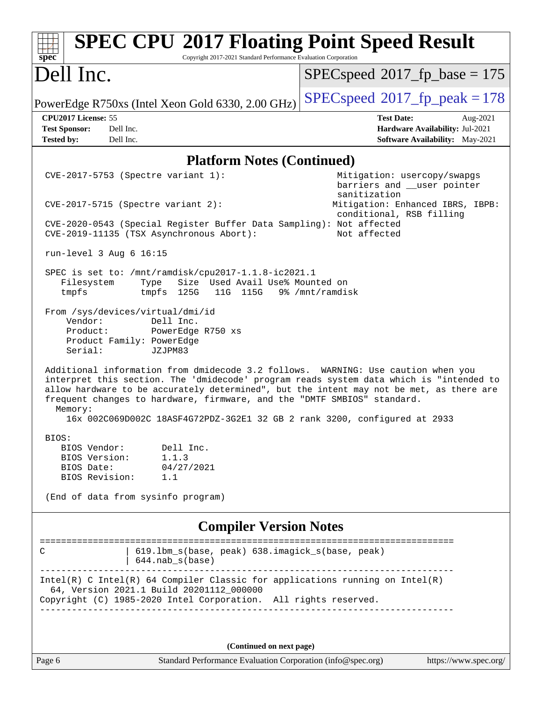| <b>SPEC CPU®2017 Floating Point Speed Result</b><br>Copyright 2017-2021 Standard Performance Evaluation Corporation<br>spec <sup>®</sup>                                                                                                                                                                                                                      |                                                                                                                                            |
|---------------------------------------------------------------------------------------------------------------------------------------------------------------------------------------------------------------------------------------------------------------------------------------------------------------------------------------------------------------|--------------------------------------------------------------------------------------------------------------------------------------------|
| Dell Inc.                                                                                                                                                                                                                                                                                                                                                     | $SPEC speed^{\circ}2017\_fp\_base = 175$                                                                                                   |
| PowerEdge R750xs (Intel Xeon Gold 6330, 2.00 GHz)                                                                                                                                                                                                                                                                                                             | $SPEC speed^{\circ}2017$ fp peak = 178                                                                                                     |
| CPU2017 License: 55<br><b>Test Sponsor:</b><br>Dell Inc.<br><b>Tested by:</b><br>Dell Inc.                                                                                                                                                                                                                                                                    | <b>Test Date:</b><br>Aug-2021<br>Hardware Availability: Jul-2021<br>Software Availability: May-2021                                        |
| <b>Platform Notes (Continued)</b>                                                                                                                                                                                                                                                                                                                             |                                                                                                                                            |
| CVE-2017-5753 (Spectre variant 1):<br>$CVE-2017-5715$ (Spectre variant 2):                                                                                                                                                                                                                                                                                    | Mitigation: usercopy/swapgs<br>barriers and __user pointer<br>sanitization<br>Mitigation: Enhanced IBRS, IBPB:<br>conditional, RSB filling |
| CVE-2020-0543 (Special Register Buffer Data Sampling): Not affected<br>CVE-2019-11135 (TSX Asynchronous Abort):                                                                                                                                                                                                                                               | Not affected                                                                                                                               |
| run-level 3 Aug 6 16:15                                                                                                                                                                                                                                                                                                                                       |                                                                                                                                            |
| SPEC is set to: /mnt/ramdisk/cpu2017-1.1.8-ic2021.1<br>Size Used Avail Use% Mounted on<br>Filesystem<br>Type<br>tmpfs<br>tmpfs 125G<br>11G 115G 9% / mnt/ramdisk                                                                                                                                                                                              |                                                                                                                                            |
| From /sys/devices/virtual/dmi/id<br>Vendor:<br>Dell Inc.<br>PowerEdge R750 xs<br>Product:<br>Product Family: PowerEdge<br>Serial:<br>JZJPM83                                                                                                                                                                                                                  |                                                                                                                                            |
| Additional information from dmidecode 3.2 follows. WARNING: Use caution when you<br>interpret this section. The 'dmidecode' program reads system data which is "intended to<br>allow hardware to be accurately determined", but the intent may not be met, as there are<br>frequent changes to hardware, firmware, and the "DMTF SMBIOS" standard.<br>Memory: |                                                                                                                                            |
| 16x 002C069D002C 18ASF4G72PDZ-3G2E1 32 GB 2 rank 3200, configured at 2933                                                                                                                                                                                                                                                                                     |                                                                                                                                            |
| BIOS:<br>BIOS Vendor:<br>Dell Inc.<br>BIOS Version:<br>1.1.3<br>BIOS Date:<br>04/27/2021<br>BIOS Revision:<br>1.1                                                                                                                                                                                                                                             |                                                                                                                                            |
| (End of data from sysinfo program)                                                                                                                                                                                                                                                                                                                            |                                                                                                                                            |
| <b>Compiler Version Notes</b>                                                                                                                                                                                                                                                                                                                                 |                                                                                                                                            |
| 619.1bm_s(base, peak) 638.imagick_s(base, peak)<br>С<br>$644.nab_s(base)$                                                                                                                                                                                                                                                                                     |                                                                                                                                            |
| $Intel(R)$ C Intel(R) 64 Compiler Classic for applications running on Intel(R)<br>64, Version 2021.1 Build 20201112_000000<br>Copyright (C) 1985-2020 Intel Corporation. All rights reserved.                                                                                                                                                                 |                                                                                                                                            |
|                                                                                                                                                                                                                                                                                                                                                               |                                                                                                                                            |
| (Continued on next page)<br>Standard Performance Evaluation Corporation (info@spec.org)<br>Page 6                                                                                                                                                                                                                                                             | https://www.spec.org/                                                                                                                      |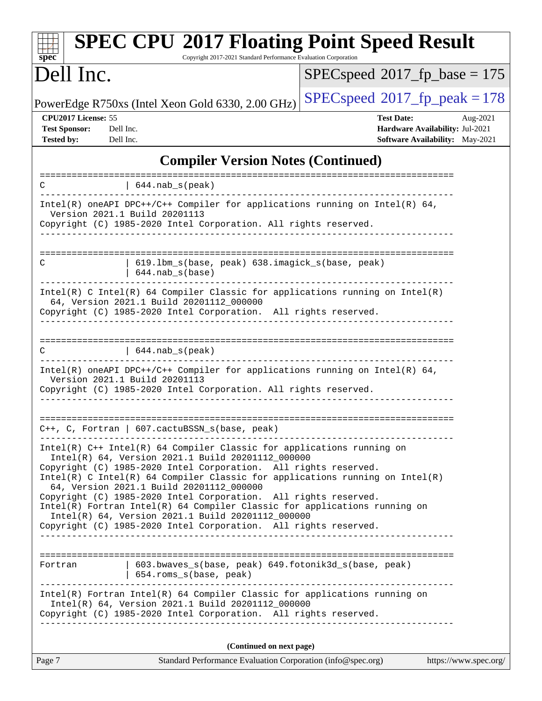| spec <sup>®</sup>                                                | <b>SPEC CPU®2017 Floating Point Speed Result</b><br>Copyright 2017-2021 Standard Performance Evaluation Corporation                                                                                                                                                                                                                                                                          |                                                                                                            |
|------------------------------------------------------------------|----------------------------------------------------------------------------------------------------------------------------------------------------------------------------------------------------------------------------------------------------------------------------------------------------------------------------------------------------------------------------------------------|------------------------------------------------------------------------------------------------------------|
| Dell Inc.                                                        |                                                                                                                                                                                                                                                                                                                                                                                              | $SPEC speed^{\circ}2017$ [p base = 175                                                                     |
|                                                                  | PowerEdge R750xs (Intel Xeon Gold 6330, 2.00 GHz)                                                                                                                                                                                                                                                                                                                                            | $SPEC speed^{\circ}2017$ fp peak = 178                                                                     |
| CPU2017 License: 55<br><b>Test Sponsor:</b><br><b>Tested by:</b> | Dell Inc.<br>Dell Inc.                                                                                                                                                                                                                                                                                                                                                                       | <b>Test Date:</b><br>Aug-2021<br>Hardware Availability: Jul-2021<br><b>Software Availability:</b> May-2021 |
|                                                                  | <b>Compiler Version Notes (Continued)</b>                                                                                                                                                                                                                                                                                                                                                    |                                                                                                            |
| С                                                                | 644.nab s (peak)                                                                                                                                                                                                                                                                                                                                                                             | ===============<br>=========================                                                               |
|                                                                  | Intel(R) oneAPI DPC++/C++ Compiler for applications running on Intel(R) 64,<br>Version 2021.1 Build 20201113<br>Copyright (C) 1985-2020 Intel Corporation. All rights reserved.                                                                                                                                                                                                              |                                                                                                            |
| С                                                                | 619.1bm_s(base, peak) 638.imagick_s(base, peak)<br>$644.nab_s(base)$                                                                                                                                                                                                                                                                                                                         |                                                                                                            |
|                                                                  | $Intel(R)$ C Intel(R) 64 Compiler Classic for applications running on Intel(R)<br>64, Version 2021.1 Build 20201112_000000<br>Copyright (C) 1985-2020 Intel Corporation. All rights reserved.                                                                                                                                                                                                |                                                                                                            |
| C                                                                | $  644.nab_s(peak)$                                                                                                                                                                                                                                                                                                                                                                          |                                                                                                            |
|                                                                  | Intel(R) oneAPI DPC++/C++ Compiler for applications running on Intel(R) $64$ ,<br>Version 2021.1 Build 20201113<br>Copyright (C) 1985-2020 Intel Corporation. All rights reserved.                                                                                                                                                                                                           |                                                                                                            |
|                                                                  | $C++$ , C, Fortran   607.cactuBSSN_s(base, peak)                                                                                                                                                                                                                                                                                                                                             |                                                                                                            |
|                                                                  | Intel(R) C++ Intel(R) 64 Compiler Classic for applications running on<br>Intel(R) 64, Version 2021.1 Build 20201112_000000<br>Copyright (C) 1985-2020 Intel Corporation. All rights reserved.<br>Intel(R) C Intel(R) 64 Compiler Classic for applications running on Intel(R)<br>64, Version 2021.1 Build 20201112_000000<br>Copyright (C) 1985-2020 Intel Corporation. All rights reserved. |                                                                                                            |
|                                                                  | Intel(R) Fortran Intel(R) 64 Compiler Classic for applications running on<br>Intel(R) 64, Version 2021.1 Build 20201112_000000<br>Copyright (C) 1985-2020 Intel Corporation. All rights reserved.                                                                                                                                                                                            |                                                                                                            |
| Fortran                                                          | 603.bwaves_s(base, peak) 649.fotonik3d_s(base, peak)<br>  654.roms_s(base, peak)                                                                                                                                                                                                                                                                                                             |                                                                                                            |
|                                                                  | Intel(R) Fortran Intel(R) 64 Compiler Classic for applications running on<br>Intel(R) 64, Version 2021.1 Build 20201112_000000<br>Copyright (C) 1985-2020 Intel Corporation. All rights reserved.                                                                                                                                                                                            |                                                                                                            |
|                                                                  | (Continued on next page)                                                                                                                                                                                                                                                                                                                                                                     |                                                                                                            |
| Page 7                                                           | Standard Performance Evaluation Corporation (info@spec.org)                                                                                                                                                                                                                                                                                                                                  | https://www.spec.org/                                                                                      |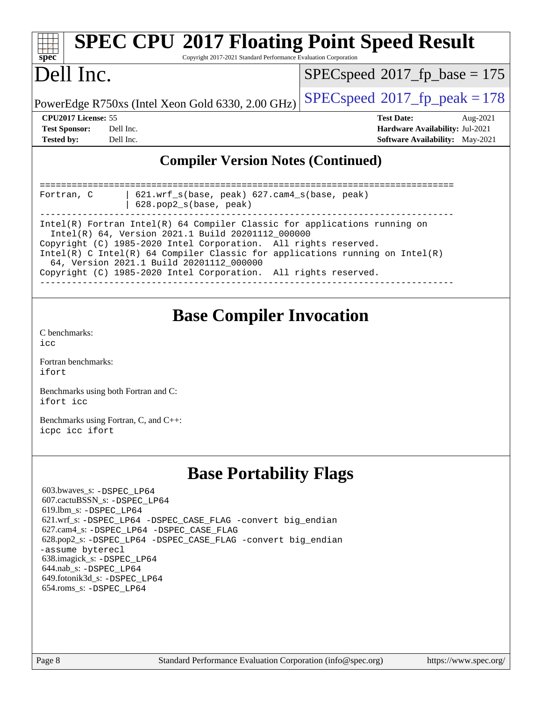| <b>SPEC CPU®2017 Floating Point Speed Result</b><br>spec <sup>®</sup><br>Copyright 2017-2021 Standard Performance Evaluation Corporation                                                                                                                                                                                                                                                              |                                                                                                     |
|-------------------------------------------------------------------------------------------------------------------------------------------------------------------------------------------------------------------------------------------------------------------------------------------------------------------------------------------------------------------------------------------------------|-----------------------------------------------------------------------------------------------------|
| Dell Inc.                                                                                                                                                                                                                                                                                                                                                                                             | $SPEC speed^{\circ}2017\_fp\_base = 175$                                                            |
| PowerEdge R750xs (Intel Xeon Gold 6330, 2.00 GHz)                                                                                                                                                                                                                                                                                                                                                     | $SPEC speed^{\circ}2017$ _fp_peak = 178                                                             |
| CPU2017 License: 55<br><b>Test Sponsor:</b><br>Dell Inc.<br><b>Tested by:</b><br>Dell Inc.                                                                                                                                                                                                                                                                                                            | <b>Test Date:</b><br>Aug-2021<br>Hardware Availability: Jul-2021<br>Software Availability: May-2021 |
| <b>Compiler Version Notes (Continued)</b>                                                                                                                                                                                                                                                                                                                                                             |                                                                                                     |
| 621.wrf_s(base, peak) 627.cam4_s(base, peak)<br>Fortran, C<br>628.pop2_s(base, peak)                                                                                                                                                                                                                                                                                                                  |                                                                                                     |
| Intel(R) Fortran Intel(R) 64 Compiler Classic for applications running on<br>Intel(R) 64, Version 2021.1 Build 20201112_000000<br>Copyright (C) 1985-2020 Intel Corporation. All rights reserved.<br>Intel(R) C Intel(R) 64 Compiler Classic for applications running on Intel(R)<br>64, Version 2021.1 Build 20201112_000000<br>Copyright (C) 1985-2020 Intel Corporation. All rights reserved.      |                                                                                                     |
| <b>Base Compiler Invocation</b><br>C benchmarks:<br>icc<br>Fortran benchmarks:<br>ifort                                                                                                                                                                                                                                                                                                               |                                                                                                     |
| Benchmarks using both Fortran and C:<br>ifort icc                                                                                                                                                                                                                                                                                                                                                     |                                                                                                     |
| Benchmarks using Fortran, C, and C++:<br>icpc icc ifort                                                                                                                                                                                                                                                                                                                                               |                                                                                                     |
| <b>Base Portability Flags</b>                                                                                                                                                                                                                                                                                                                                                                         |                                                                                                     |
| 603.bwaves_s: -DSPEC_LP64<br>607.cactuBSSN_s: -DSPEC LP64<br>619.lbm_s: -DSPEC_LP64<br>621.wrf_s: -DSPEC_LP64 -DSPEC_CASE_FLAG -convert big_endian<br>627.cam4_s: -DSPEC_LP64 -DSPEC_CASE_FLAG<br>628.pop2_s: -DSPEC_LP64 -DSPEC_CASE_FLAG -convert big_endian<br>-assume byterecl<br>638.imagick_s: -DSPEC_LP64<br>644.nab_s: -DSPEC_LP64<br>649.fotonik3d_s: -DSPEC_LP64<br>654.roms_s: -DSPEC LP64 |                                                                                                     |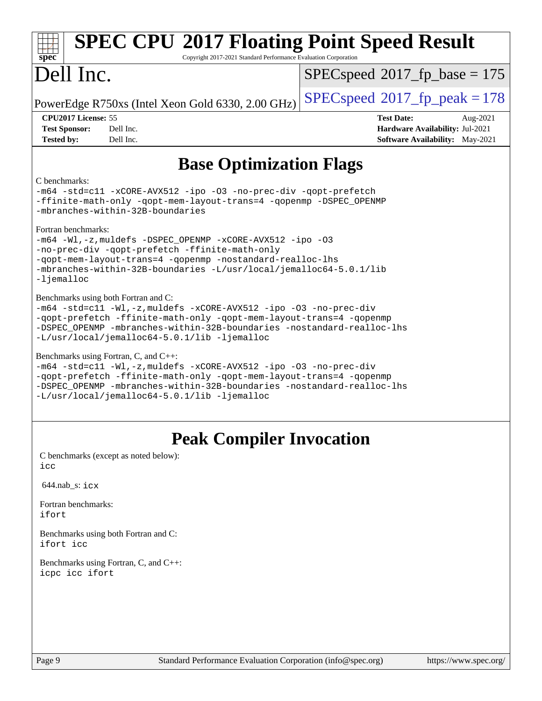| <b>SPEC CPU®2017 Floating Point Speed Result</b><br>Copyright 2017-2021 Standard Performance Evaluation Corporation<br>spec <sup>®</sup>                                                                                                                                                                    |                                                                                                            |  |
|-------------------------------------------------------------------------------------------------------------------------------------------------------------------------------------------------------------------------------------------------------------------------------------------------------------|------------------------------------------------------------------------------------------------------------|--|
| Dell Inc.                                                                                                                                                                                                                                                                                                   | $SPEC speed^{\circ}2017\_fp\_base = 175$                                                                   |  |
| PowerEdge R750xs (Intel Xeon Gold 6330, 2.00 GHz)                                                                                                                                                                                                                                                           | $SPEC speed^{\circ}2017$ fp peak = 178                                                                     |  |
| CPU2017 License: 55<br>Dell Inc.<br><b>Test Sponsor:</b><br>Dell Inc.<br><b>Tested by:</b>                                                                                                                                                                                                                  | <b>Test Date:</b><br>Aug-2021<br>Hardware Availability: Jul-2021<br><b>Software Availability:</b> May-2021 |  |
| <b>Base Optimization Flags</b>                                                                                                                                                                                                                                                                              |                                                                                                            |  |
| C benchmarks:<br>-m64 -std=cl1 -xCORE-AVX512 -ipo -03 -no-prec-div -qopt-prefetch<br>-ffinite-math-only -qopt-mem-layout-trans=4 -qopenmp -DSPEC_OPENMP<br>-mbranches-within-32B-boundaries                                                                                                                 |                                                                                                            |  |
| Fortran benchmarks:<br>-m64 -Wl,-z, muldefs -DSPEC_OPENMP -xCORE-AVX512 -ipo -03<br>-no-prec-div -qopt-prefetch -ffinite-math-only<br>-qopt-mem-layout-trans=4 -qopenmp -nostandard-realloc-lhs<br>-mbranches-within-32B-boundaries -L/usr/local/jemalloc64-5.0.1/lib<br>$-l$ jemalloc                      |                                                                                                            |  |
| Benchmarks using both Fortran and C:<br>-m64 -std=c11 -Wl,-z, muldefs -xCORE-AVX512 -ipo -03 -no-prec-div<br>-qopt-prefetch -ffinite-math-only -qopt-mem-layout-trans=4 -qopenmp<br>-DSPEC_OPENMP -mbranches-within-32B-boundaries -nostandard-realloc-lhs<br>-L/usr/local/jemalloc64-5.0.1/lib -ljemalloc  |                                                                                                            |  |
| Benchmarks using Fortran, C, and C++:<br>-m64 -std=c11 -Wl,-z, muldefs -xCORE-AVX512 -ipo -03 -no-prec-div<br>-qopt-prefetch -ffinite-math-only -qopt-mem-layout-trans=4 -qopenmp<br>-DSPEC OPENMP -mbranches-within-32B-boundaries -nostandard-realloc-lhs<br>-L/usr/local/jemalloc64-5.0.1/lib -ljemalloc |                                                                                                            |  |
| <b>Peak Compiler Invocation</b>                                                                                                                                                                                                                                                                             |                                                                                                            |  |
| C benchmarks (except as noted below):<br>icc                                                                                                                                                                                                                                                                |                                                                                                            |  |
| 644.nab_s: icx                                                                                                                                                                                                                                                                                              |                                                                                                            |  |
| Fortran benchmarks:<br>ifort                                                                                                                                                                                                                                                                                |                                                                                                            |  |

[Benchmarks using both Fortran and C](http://www.spec.org/auto/cpu2017/Docs/result-fields.html#BenchmarksusingbothFortranandC): [ifort](http://www.spec.org/cpu2017/results/res2021q3/cpu2017-20210827-28978.flags.html#user_CC_FCpeak_intel_ifort_8111460550e3ca792625aed983ce982f94888b8b503583aa7ba2b8303487b4d8a21a13e7191a45c5fd58ff318f48f9492884d4413fa793fd88dd292cad7027ca) [icc](http://www.spec.org/cpu2017/results/res2021q3/cpu2017-20210827-28978.flags.html#user_CC_FCpeak_intel_icc_66fc1ee009f7361af1fbd72ca7dcefbb700085f36577c54f309893dd4ec40d12360134090235512931783d35fd58c0460139e722d5067c5574d8eaf2b3e37e92)

[Benchmarks using Fortran, C, and C++:](http://www.spec.org/auto/cpu2017/Docs/result-fields.html#BenchmarksusingFortranCandCXX) [icpc](http://www.spec.org/cpu2017/results/res2021q3/cpu2017-20210827-28978.flags.html#user_CC_CXX_FCpeak_intel_icpc_c510b6838c7f56d33e37e94d029a35b4a7bccf4766a728ee175e80a419847e808290a9b78be685c44ab727ea267ec2f070ec5dc83b407c0218cded6866a35d07) [icc](http://www.spec.org/cpu2017/results/res2021q3/cpu2017-20210827-28978.flags.html#user_CC_CXX_FCpeak_intel_icc_66fc1ee009f7361af1fbd72ca7dcefbb700085f36577c54f309893dd4ec40d12360134090235512931783d35fd58c0460139e722d5067c5574d8eaf2b3e37e92) [ifort](http://www.spec.org/cpu2017/results/res2021q3/cpu2017-20210827-28978.flags.html#user_CC_CXX_FCpeak_intel_ifort_8111460550e3ca792625aed983ce982f94888b8b503583aa7ba2b8303487b4d8a21a13e7191a45c5fd58ff318f48f9492884d4413fa793fd88dd292cad7027ca)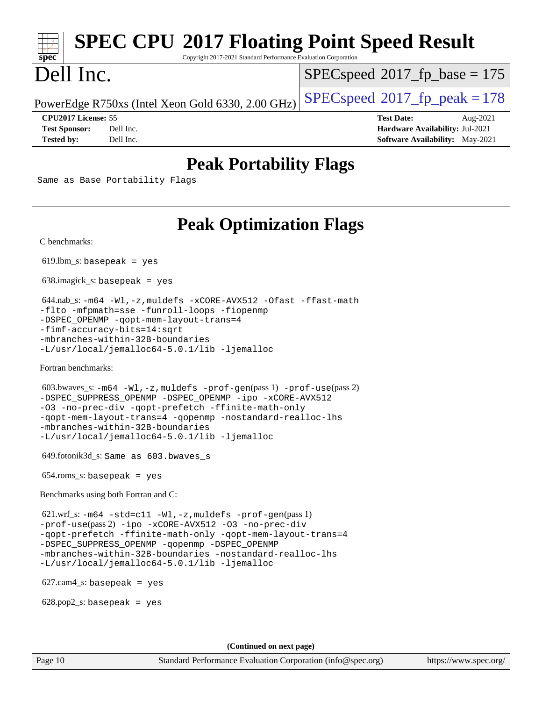# **[SPEC CPU](http://www.spec.org/auto/cpu2017/Docs/result-fields.html#SPECCPU2017FloatingPointSpeedResult)[2017 Floating Point Speed Result](http://www.spec.org/auto/cpu2017/Docs/result-fields.html#SPECCPU2017FloatingPointSpeedResult)**

Copyright 2017-2021 Standard Performance Evaluation Corporation

# Dell Inc.

**[spec](http://www.spec.org/)**

[SPECspeed](http://www.spec.org/auto/cpu2017/Docs/result-fields.html#SPECspeed2017fpbase)<sup>®</sup>2017 fp base = 175

PowerEdge R750xs (Intel Xeon Gold 6330, 2.00 GHz)  $\left|$  [SPECspeed](http://www.spec.org/auto/cpu2017/Docs/result-fields.html#SPECspeed2017fppeak)<sup>®</sup>[2017\\_fp\\_peak = 1](http://www.spec.org/auto/cpu2017/Docs/result-fields.html#SPECspeed2017fppeak)78

**[CPU2017 License:](http://www.spec.org/auto/cpu2017/Docs/result-fields.html#CPU2017License)** 55 **[Test Date:](http://www.spec.org/auto/cpu2017/Docs/result-fields.html#TestDate)** Aug-2021 **[Test Sponsor:](http://www.spec.org/auto/cpu2017/Docs/result-fields.html#TestSponsor)** Dell Inc. **[Hardware Availability:](http://www.spec.org/auto/cpu2017/Docs/result-fields.html#HardwareAvailability)** Jul-2021 **[Tested by:](http://www.spec.org/auto/cpu2017/Docs/result-fields.html#Testedby)** Dell Inc. **[Software Availability:](http://www.spec.org/auto/cpu2017/Docs/result-fields.html#SoftwareAvailability)** May-2021

## **[Peak Portability Flags](http://www.spec.org/auto/cpu2017/Docs/result-fields.html#PeakPortabilityFlags)**

Same as Base Portability Flags

## **[Peak Optimization Flags](http://www.spec.org/auto/cpu2017/Docs/result-fields.html#PeakOptimizationFlags)**

[C benchmarks](http://www.spec.org/auto/cpu2017/Docs/result-fields.html#Cbenchmarks):

 $619.$ lbm\_s: basepeak = yes

638.imagick\_s: basepeak = yes

```
 644.nab_s: -m64 -Wl,-z,muldefs -xCORE-AVX512 -Ofast -ffast-math
-flto -mfpmath=sse -funroll-loops -fiopenmp
-DSPEC_OPENMP -qopt-mem-layout-trans=4
-fimf-accuracy-bits=14:sqrt
-mbranches-within-32B-boundaries
-L/usr/local/jemalloc64-5.0.1/lib -ljemalloc
```
[Fortran benchmarks](http://www.spec.org/auto/cpu2017/Docs/result-fields.html#Fortranbenchmarks):

```
 603.bwaves_s: -m64 -Wl,-z,muldefs -prof-gen(pass 1) -prof-use(pass 2)
-DSPEC_SUPPRESS_OPENMP -DSPEC_OPENMP -ipo -xCORE-AVX512
-O3 -no-prec-div -qopt-prefetch -ffinite-math-only
-qopt-mem-layout-trans=4 -qopenmp -nostandard-realloc-lhs
-mbranches-within-32B-boundaries
-L/usr/local/jemalloc64-5.0.1/lib -ljemalloc
```
649.fotonik3d\_s: Same as 603.bwaves\_s

654.roms\_s: basepeak = yes

[Benchmarks using both Fortran and C](http://www.spec.org/auto/cpu2017/Docs/result-fields.html#BenchmarksusingbothFortranandC):

 621.wrf\_s: [-m64](http://www.spec.org/cpu2017/results/res2021q3/cpu2017-20210827-28978.flags.html#user_peakCCFCLD621_wrf_s_m64-icc) [-std=c11](http://www.spec.org/cpu2017/results/res2021q3/cpu2017-20210827-28978.flags.html#user_peakCC621_wrf_s_std-icc-std_0e1c27790398a4642dfca32ffe6c27b5796f9c2d2676156f2e42c9c44eaad0c049b1cdb667a270c34d979996257aeb8fc440bfb01818dbc9357bd9d174cb8524) [-Wl,-z,muldefs](http://www.spec.org/cpu2017/results/res2021q3/cpu2017-20210827-28978.flags.html#user_peakEXTRA_LDFLAGS621_wrf_s_link_force_multiple1_b4cbdb97b34bdee9ceefcfe54f4c8ea74255f0b02a4b23e853cdb0e18eb4525ac79b5a88067c842dd0ee6996c24547a27a4b99331201badda8798ef8a743f577) [-prof-gen](http://www.spec.org/cpu2017/results/res2021q3/cpu2017-20210827-28978.flags.html#user_peakPASS1_CFLAGSPASS1_FFLAGSPASS1_LDFLAGS621_wrf_s_prof_gen_5aa4926d6013ddb2a31985c654b3eb18169fc0c6952a63635c234f711e6e63dd76e94ad52365559451ec499a2cdb89e4dc58ba4c67ef54ca681ffbe1461d6b36)(pass 1) [-prof-use](http://www.spec.org/cpu2017/results/res2021q3/cpu2017-20210827-28978.flags.html#user_peakPASS2_CFLAGSPASS2_FFLAGSPASS2_LDFLAGS621_wrf_s_prof_use_1a21ceae95f36a2b53c25747139a6c16ca95bd9def2a207b4f0849963b97e94f5260e30a0c64f4bb623698870e679ca08317ef8150905d41bd88c6f78df73f19)(pass 2) [-ipo](http://www.spec.org/cpu2017/results/res2021q3/cpu2017-20210827-28978.flags.html#user_peakPASS1_COPTIMIZEPASS1_FOPTIMIZEPASS2_COPTIMIZEPASS2_FOPTIMIZE621_wrf_s_f-ipo) [-xCORE-AVX512](http://www.spec.org/cpu2017/results/res2021q3/cpu2017-20210827-28978.flags.html#user_peakPASS2_COPTIMIZEPASS2_FOPTIMIZE621_wrf_s_f-xCORE-AVX512) [-O3](http://www.spec.org/cpu2017/results/res2021q3/cpu2017-20210827-28978.flags.html#user_peakPASS1_COPTIMIZEPASS1_FOPTIMIZEPASS2_COPTIMIZEPASS2_FOPTIMIZE621_wrf_s_f-O3) [-no-prec-div](http://www.spec.org/cpu2017/results/res2021q3/cpu2017-20210827-28978.flags.html#user_peakPASS1_COPTIMIZEPASS1_FOPTIMIZEPASS2_COPTIMIZEPASS2_FOPTIMIZE621_wrf_s_f-no-prec-div) [-qopt-prefetch](http://www.spec.org/cpu2017/results/res2021q3/cpu2017-20210827-28978.flags.html#user_peakPASS1_COPTIMIZEPASS1_FOPTIMIZEPASS2_COPTIMIZEPASS2_FOPTIMIZE621_wrf_s_f-qopt-prefetch) [-ffinite-math-only](http://www.spec.org/cpu2017/results/res2021q3/cpu2017-20210827-28978.flags.html#user_peakPASS1_COPTIMIZEPASS1_FOPTIMIZEPASS2_COPTIMIZEPASS2_FOPTIMIZE621_wrf_s_f_finite_math_only_cb91587bd2077682c4b38af759c288ed7c732db004271a9512da14a4f8007909a5f1427ecbf1a0fb78ff2a814402c6114ac565ca162485bbcae155b5e4258871) [-qopt-mem-layout-trans=4](http://www.spec.org/cpu2017/results/res2021q3/cpu2017-20210827-28978.flags.html#user_peakPASS1_COPTIMIZEPASS1_FOPTIMIZEPASS2_COPTIMIZEPASS2_FOPTIMIZE621_wrf_s_f-qopt-mem-layout-trans_fa39e755916c150a61361b7846f310bcdf6f04e385ef281cadf3647acec3f0ae266d1a1d22d972a7087a248fd4e6ca390a3634700869573d231a252c784941a8) [-DSPEC\\_SUPPRESS\\_OPENMP](http://www.spec.org/cpu2017/results/res2021q3/cpu2017-20210827-28978.flags.html#suite_peakPASS1_COPTIMIZEPASS1_FOPTIMIZE621_wrf_s_DSPEC_SUPPRESS_OPENMP) [-qopenmp](http://www.spec.org/cpu2017/results/res2021q3/cpu2017-20210827-28978.flags.html#user_peakPASS2_COPTIMIZEPASS2_FOPTIMIZE621_wrf_s_qopenmp_16be0c44f24f464004c6784a7acb94aca937f053568ce72f94b139a11c7c168634a55f6653758ddd83bcf7b8463e8028bb0b48b77bcddc6b78d5d95bb1df2967) [-DSPEC\\_OPENMP](http://www.spec.org/cpu2017/results/res2021q3/cpu2017-20210827-28978.flags.html#suite_peakPASS2_COPTIMIZEPASS2_FOPTIMIZE621_wrf_s_DSPEC_OPENMP) [-mbranches-within-32B-boundaries](http://www.spec.org/cpu2017/results/res2021q3/cpu2017-20210827-28978.flags.html#user_peakEXTRA_COPTIMIZEEXTRA_FOPTIMIZE621_wrf_s_f-mbranches-within-32B-boundaries) [-nostandard-realloc-lhs](http://www.spec.org/cpu2017/results/res2021q3/cpu2017-20210827-28978.flags.html#user_peakEXTRA_FOPTIMIZE621_wrf_s_f_2003_std_realloc_82b4557e90729c0f113870c07e44d33d6f5a304b4f63d4c15d2d0f1fab99f5daaed73bdb9275d9ae411527f28b936061aa8b9c8f2d63842963b95c9dd6426b8a) [-L/usr/local/jemalloc64-5.0.1/lib](http://www.spec.org/cpu2017/results/res2021q3/cpu2017-20210827-28978.flags.html#user_peakEXTRA_LIBS621_wrf_s_jemalloc_link_path64_1_cc289568b1a6c0fd3b62c91b824c27fcb5af5e8098e6ad028160d21144ef1b8aef3170d2acf0bee98a8da324cfe4f67d0a3d0c4cc4673d993d694dc2a0df248b) [-ljemalloc](http://www.spec.org/cpu2017/results/res2021q3/cpu2017-20210827-28978.flags.html#user_peakEXTRA_LIBS621_wrf_s_jemalloc_link_lib_d1249b907c500fa1c0672f44f562e3d0f79738ae9e3c4a9c376d49f265a04b9c99b167ecedbf6711b3085be911c67ff61f150a17b3472be731631ba4d0471706)

627.cam4\_s: basepeak = yes

 $628.pop2_s:$  basepeak = yes

**(Continued on next page)**